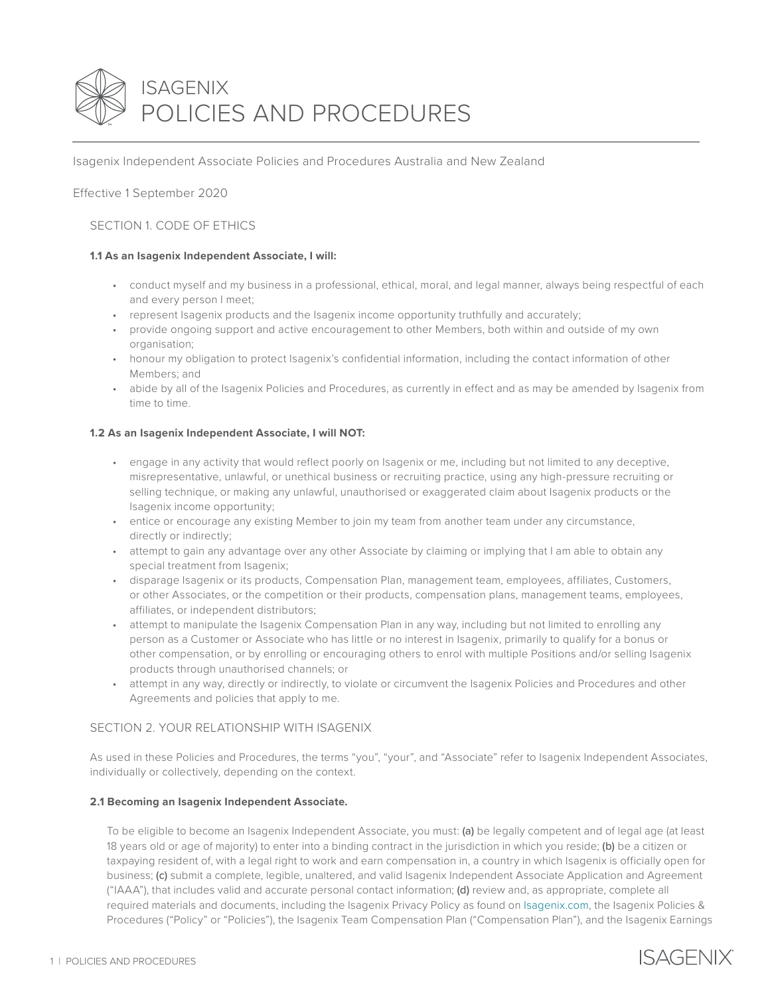

Isagenix Independent Associate Policies and Procedures Australia and New Zealand

Effective 1 September 2020

# SECTION 1. CODE OF ETHICS

## **1.1 As an Isagenix Independent Associate, I will:**

- conduct myself and my business in a professional, ethical, moral, and legal manner, always being respectful of each and every person I meet;
- represent Isagenix products and the Isagenix income opportunity truthfully and accurately;
- provide ongoing support and active encouragement to other Members, both within and outside of my own organisation;
- honour my obligation to protect Isagenix's confidential information, including the contact information of other Members; and
- abide by all of the Isagenix Policies and Procedures, as currently in effect and as may be amended by Isagenix from time to time.

## **1.2 As an Isagenix Independent Associate, I will NOT:**

- engage in any activity that would reflect poorly on Isagenix or me, including but not limited to any deceptive, misrepresentative, unlawful, or unethical business or recruiting practice, using any high-pressure recruiting or selling technique, or making any unlawful, unauthorised or exaggerated claim about Isagenix products or the Isagenix income opportunity;
- entice or encourage any existing Member to join my team from another team under any circumstance, directly or indirectly;
- attempt to gain any advantage over any other Associate by claiming or implying that I am able to obtain any special treatment from Isagenix;
- disparage Isagenix or its products, Compensation Plan, management team, employees, affiliates, Customers, or other Associates, or the competition or their products, compensation plans, management teams, employees, affiliates, or independent distributors;
- attempt to manipulate the Isagenix Compensation Plan in any way, including but not limited to enrolling any person as a Customer or Associate who has little or no interest in Isagenix, primarily to qualify for a bonus or other compensation, or by enrolling or encouraging others to enrol with multiple Positions and/or selling Isagenix products through unauthorised channels; or
- attempt in any way, directly or indirectly, to violate or circumvent the Isagenix Policies and Procedures and other Agreements and policies that apply to me.

## SECTION 2. YOUR RELATIONSHIP WITH ISAGENIX

As used in these Policies and Procedures, the terms "you", "your", and "Associate" refer to Isagenix Independent Associates, individually or collectively, depending on the context.

## **2.1 Becoming an Isagenix Independent Associate.**

To be eligible to become an Isagenix Independent Associate, you must: (a) be legally competent and of legal age (at least 18 years old or age of majority) to enter into a binding contract in the jurisdiction in which you reside; (b) be a citizen or taxpaying resident of, with a legal right to work and earn compensation in, a country in which Isagenix is officially open for business; (c) submit a complete, legible, unaltered, and valid Isagenix Independent Associate Application and Agreement ("IAAA"), that includes valid and accurate personal contact information; (d) review and, as appropriate, complete all required materials and documents, including the Isagenix Privacy Policy as found on [Isagenix.com](https://www.isagenix.com/en-au), the Isagenix Policies & Procedures ("Policy" or "Policies"), the Isagenix Team Compensation Plan ("Compensation Plan"), and the Isagenix Earnings

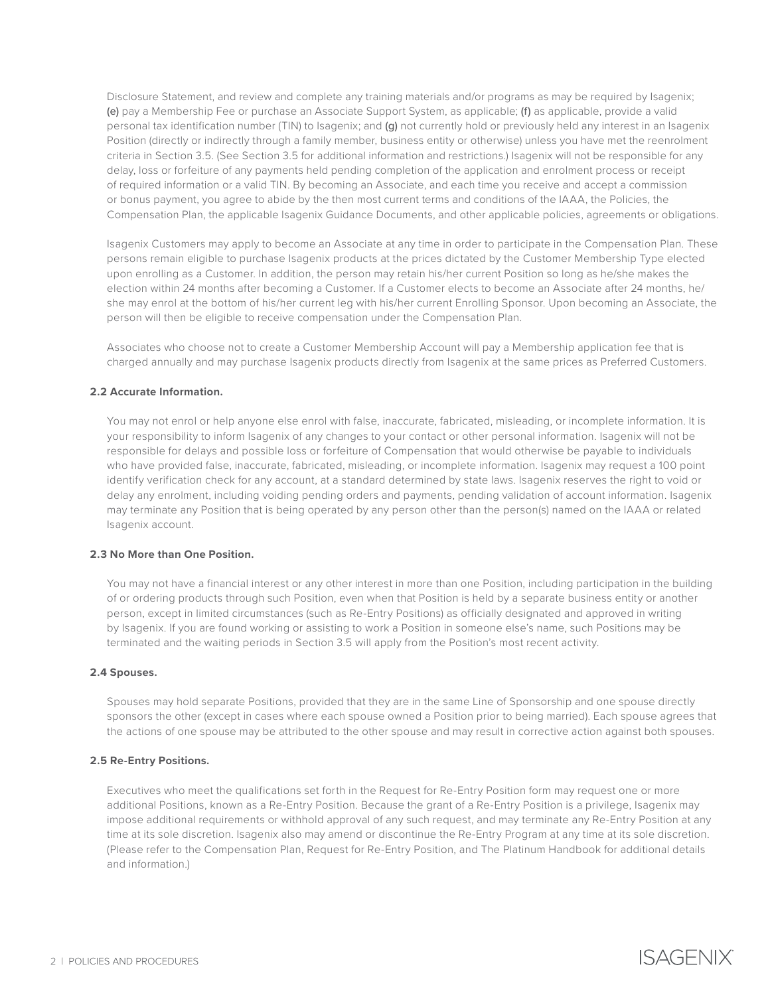Disclosure Statement, and review and complete any training materials and/or programs as may be required by Isagenix; (e) pay a Membership Fee or purchase an Associate Support System, as applicable; (f) as applicable, provide a valid personal tax identification number (TIN) to Isagenix; and (g) not currently hold or previously held any interest in an Isagenix Position (directly or indirectly through a family member, business entity or otherwise) unless you have met the reenrolment criteria in Section 3.5. (See Section 3.5 for additional information and restrictions.) Isagenix will not be responsible for any delay, loss or forfeiture of any payments held pending completion of the application and enrolment process or receipt of required information or a valid TIN. By becoming an Associate, and each time you receive and accept a commission or bonus payment, you agree to abide by the then most current terms and conditions of the IAAA, the Policies, the Compensation Plan, the applicable Isagenix Guidance Documents, and other applicable policies, agreements or obligations.

Isagenix Customers may apply to become an Associate at any time in order to participate in the Compensation Plan. These persons remain eligible to purchase Isagenix products at the prices dictated by the Customer Membership Type elected upon enrolling as a Customer. In addition, the person may retain his/her current Position so long as he/she makes the election within 24 months after becoming a Customer. If a Customer elects to become an Associate after 24 months, he/ she may enrol at the bottom of his/her current leg with his/her current Enrolling Sponsor. Upon becoming an Associate, the person will then be eligible to receive compensation under the Compensation Plan.

Associates who choose not to create a Customer Membership Account will pay a Membership application fee that is charged annually and may purchase Isagenix products directly from Isagenix at the same prices as Preferred Customers.

## **2.2 Accurate Information.**

You may not enrol or help anyone else enrol with false, inaccurate, fabricated, misleading, or incomplete information. It is your responsibility to inform Isagenix of any changes to your contact or other personal information. Isagenix will not be responsible for delays and possible loss or forfeiture of Compensation that would otherwise be payable to individuals who have provided false, inaccurate, fabricated, misleading, or incomplete information. Isagenix may request a 100 point identify verification check for any account, at a standard determined by state laws. Isagenix reserves the right to void or delay any enrolment, including voiding pending orders and payments, pending validation of account information. Isagenix may terminate any Position that is being operated by any person other than the person(s) named on the IAAA or related Isagenix account.

## **2.3 No More than One Position.**

You may not have a financial interest or any other interest in more than one Position, including participation in the building of or ordering products through such Position, even when that Position is held by a separate business entity or another person, except in limited circumstances (such as Re-Entry Positions) as officially designated and approved in writing by Isagenix. If you are found working or assisting to work a Position in someone else's name, such Positions may be terminated and the waiting periods in Section 3.5 will apply from the Position's most recent activity.

#### **2.4 Spouses.**

Spouses may hold separate Positions, provided that they are in the same Line of Sponsorship and one spouse directly sponsors the other (except in cases where each spouse owned a Position prior to being married). Each spouse agrees that the actions of one spouse may be attributed to the other spouse and may result in corrective action against both spouses.

### **2.5 Re-Entry Positions.**

Executives who meet the qualifications set forth in the Request for Re-Entry Position form may request one or more additional Positions, known as a Re-Entry Position. Because the grant of a Re-Entry Position is a privilege, Isagenix may impose additional requirements or withhold approval of any such request, and may terminate any Re-Entry Position at any time at its sole discretion. Isagenix also may amend or discontinue the Re-Entry Program at any time at its sole discretion. (Please refer to the Compensation Plan, Request for Re-Entry Position, and The Platinum Handbook for additional details and information.)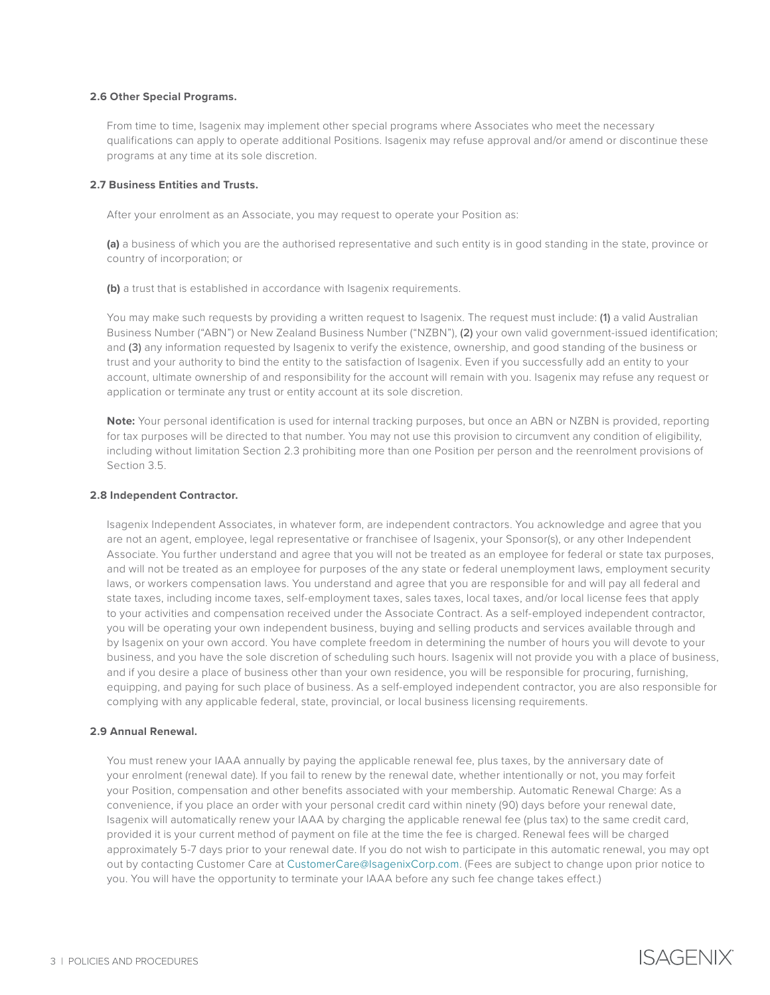### **2.6 Other Special Programs.**

From time to time, Isagenix may implement other special programs where Associates who meet the necessary qualifications can apply to operate additional Positions. Isagenix may refuse approval and/or amend or discontinue these programs at any time at its sole discretion.

### **2.7 Business Entities and Trusts.**

After your enrolment as an Associate, you may request to operate your Position as:

**(a)** a business of which you are the authorised representative and such entity is in good standing in the state, province or country of incorporation; or

**(b)** a trust that is established in accordance with Isagenix requirements.

You may make such requests by providing a written request to Isagenix. The request must include: (1) a valid Australian Business Number ("ABN") or New Zealand Business Number ("NZBN"), (2) your own valid government-issued identification; and (3) any information requested by Isagenix to verify the existence, ownership, and good standing of the business or trust and your authority to bind the entity to the satisfaction of Isagenix. Even if you successfully add an entity to your account, ultimate ownership of and responsibility for the account will remain with you. Isagenix may refuse any request or application or terminate any trust or entity account at its sole discretion.

**Note:** Your personal identification is used for internal tracking purposes, but once an ABN or NZBN is provided, reporting for tax purposes will be directed to that number. You may not use this provision to circumvent any condition of eligibility, including without limitation Section 2.3 prohibiting more than one Position per person and the reenrolment provisions of Section 3.5.

### **2.8 Independent Contractor.**

Isagenix Independent Associates, in whatever form, are independent contractors. You acknowledge and agree that you are not an agent, employee, legal representative or franchisee of Isagenix, your Sponsor(s), or any other Independent Associate. You further understand and agree that you will not be treated as an employee for federal or state tax purposes, and will not be treated as an employee for purposes of the any state or federal unemployment laws, employment security laws, or workers compensation laws. You understand and agree that you are responsible for and will pay all federal and state taxes, including income taxes, self-employment taxes, sales taxes, local taxes, and/or local license fees that apply to your activities and compensation received under the Associate Contract. As a self-employed independent contractor, you will be operating your own independent business, buying and selling products and services available through and by Isagenix on your own accord. You have complete freedom in determining the number of hours you will devote to your business, and you have the sole discretion of scheduling such hours. Isagenix will not provide you with a place of business, and if you desire a place of business other than your own residence, you will be responsible for procuring, furnishing, equipping, and paying for such place of business. As a self-employed independent contractor, you are also responsible for complying with any applicable federal, state, provincial, or local business licensing requirements.

### **2.9 Annual Renewal.**

You must renew your IAAA annually by paying the applicable renewal fee, plus taxes, by the anniversary date of your enrolment (renewal date). If you fail to renew by the renewal date, whether intentionally or not, you may forfeit your Position, compensation and other benefits associated with your membership. Automatic Renewal Charge: As a convenience, if you place an order with your personal credit card within ninety (90) days before your renewal date, Isagenix will automatically renew your IAAA by charging the applicable renewal fee (plus tax) to the same credit card, provided it is your current method of payment on file at the time the fee is charged. Renewal fees will be charged approximately 5-7 days prior to your renewal date. If you do not wish to participate in this automatic renewal, you may opt out by contacting Customer Care at [CustomerCare@IsagenixCorp.com](mailto:CustomerCare%40IsagenixCorp.com?subject=). (Fees are subject to change upon prior notice to you. You will have the opportunity to terminate your IAAA before any such fee change takes effect.)

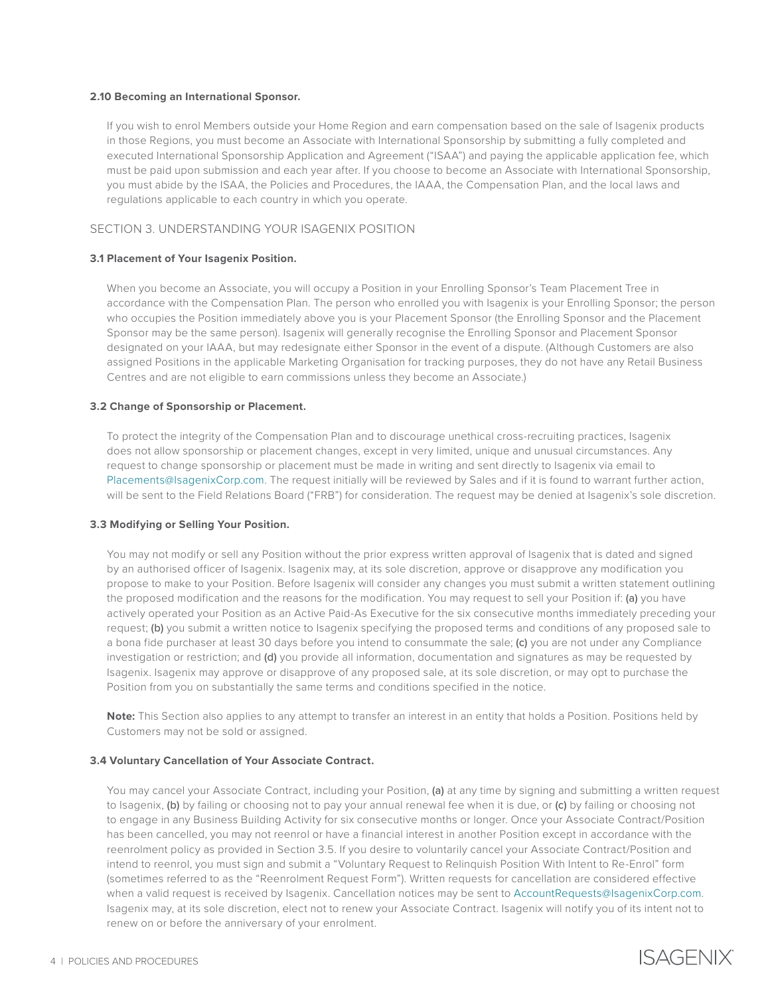### **2.10 Becoming an International Sponsor.**

If you wish to enrol Members outside your Home Region and earn compensation based on the sale of Isagenix products in those Regions, you must become an Associate with International Sponsorship by submitting a fully completed and executed International Sponsorship Application and Agreement ("ISAA") and paying the applicable application fee, which must be paid upon submission and each year after. If you choose to become an Associate with International Sponsorship, you must abide by the ISAA, the Policies and Procedures, the IAAA, the Compensation Plan, and the local laws and regulations applicable to each country in which you operate.

# SECTION 3. UNDERSTANDING YOUR ISAGENIX POSITION

## **3.1 Placement of Your Isagenix Position.**

When you become an Associate, you will occupy a Position in your Enrolling Sponsor's Team Placement Tree in accordance with the Compensation Plan. The person who enrolled you with Isagenix is your Enrolling Sponsor; the person who occupies the Position immediately above you is your Placement Sponsor (the Enrolling Sponsor and the Placement Sponsor may be the same person). Isagenix will generally recognise the Enrolling Sponsor and Placement Sponsor designated on your IAAA, but may redesignate either Sponsor in the event of a dispute. (Although Customers are also assigned Positions in the applicable Marketing Organisation for tracking purposes, they do not have any Retail Business Centres and are not eligible to earn commissions unless they become an Associate.)

## **3.2 Change of Sponsorship or Placement.**

To protect the integrity of the Compensation Plan and to discourage unethical cross-recruiting practices, Isagenix does not allow sponsorship or placement changes, except in very limited, unique and unusual circumstances. Any request to change sponsorship or placement must be made in writing and sent directly to Isagenix via email to [Placements@IsagenixCorp.com](mailto:Placements%40IsagenixCorp.com?subject=). The request initially will be reviewed by Sales and if it is found to warrant further action, will be sent to the Field Relations Board ("FRB") for consideration. The request may be denied at Isagenix's sole discretion.

### **3.3 Modifying or Selling Your Position.**

You may not modify or sell any Position without the prior express written approval of Isagenix that is dated and signed by an authorised officer of Isagenix. Isagenix may, at its sole discretion, approve or disapprove any modification you propose to make to your Position. Before Isagenix will consider any changes you must submit a written statement outlining the proposed modification and the reasons for the modification. You may request to sell your Position if: (a) you have actively operated your Position as an Active Paid-As Executive for the six consecutive months immediately preceding your request; (b) you submit a written notice to Isagenix specifying the proposed terms and conditions of any proposed sale to a bona fide purchaser at least 30 days before you intend to consummate the sale; (c) you are not under any Compliance investigation or restriction; and (d) you provide all information, documentation and signatures as may be requested by Isagenix. Isagenix may approve or disapprove of any proposed sale, at its sole discretion, or may opt to purchase the Position from you on substantially the same terms and conditions specified in the notice.

**Note:** This Section also applies to any attempt to transfer an interest in an entity that holds a Position. Positions held by Customers may not be sold or assigned.

### **3.4 Voluntary Cancellation of Your Associate Contract.**

You may cancel your Associate Contract, including your Position, (a) at any time by signing and submitting a written request to Isagenix, (b) by failing or choosing not to pay your annual renewal fee when it is due, or (c) by failing or choosing not to engage in any Business Building Activity for six consecutive months or longer. Once your Associate Contract/Position has been cancelled, you may not reenrol or have a financial interest in another Position except in accordance with the reenrolment policy as provided in Section 3.5. If you desire to voluntarily cancel your Associate Contract/Position and intend to reenrol, you must sign and submit a "Voluntary Request to Relinquish Position With Intent to Re-Enrol" form (sometimes referred to as the "Reenrolment Request Form"). Written requests for cancellation are considered effective when a valid request is received by Isagenix. Cancellation notices may be sent to [AccountRequests@IsagenixCorp.com.](mailto:AccountRequests%40IsagenixCorp.com?subject=) Isagenix may, at its sole discretion, elect not to renew your Associate Contract. Isagenix will notify you of its intent not to renew on or before the anniversary of your enrolment.

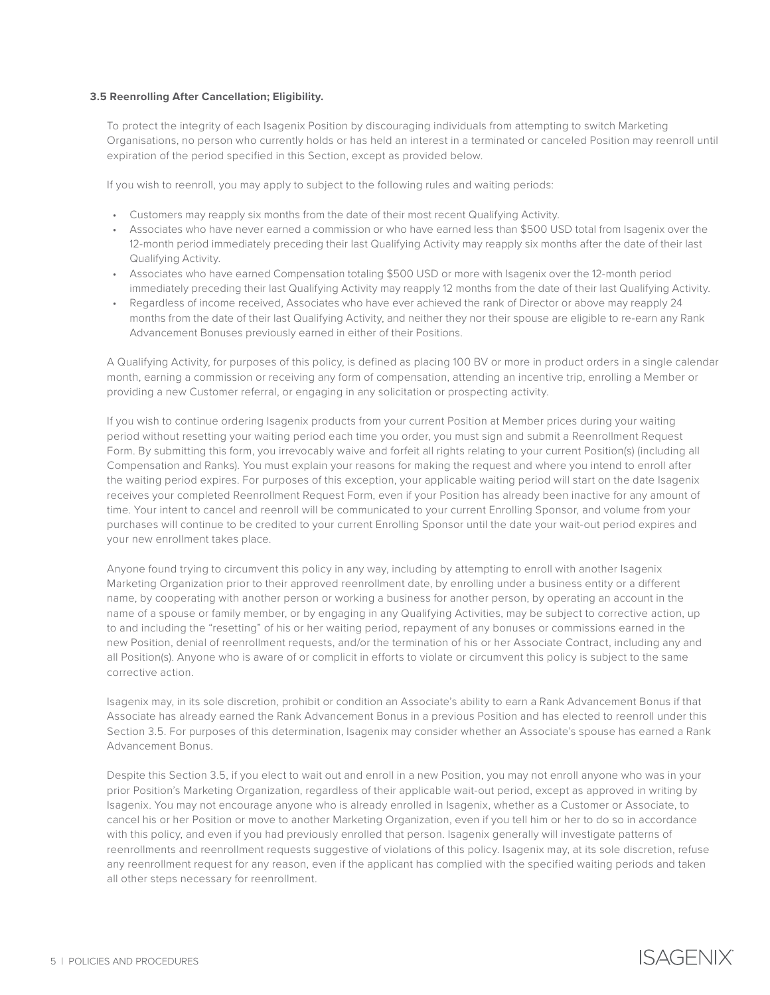## **3.5 Reenrolling After Cancellation; Eligibility.**

To protect the integrity of each Isagenix Position by discouraging individuals from attempting to switch Marketing Organisations, no person who currently holds or has held an interest in a terminated or canceled Position may reenroll until expiration of the period specified in this Section, except as provided below.

If you wish to reenroll, you may apply to subject to the following rules and waiting periods:

- Customers may reapply six months from the date of their most recent Qualifying Activity.
- Associates who have never earned a commission or who have earned less than \$500 USD total from Isagenix over the 12-month period immediately preceding their last Qualifying Activity may reapply six months after the date of their last Qualifying Activity.
- Associates who have earned Compensation totaling \$500 USD or more with Isagenix over the 12-month period immediately preceding their last Qualifying Activity may reapply 12 months from the date of their last Qualifying Activity.
- Regardless of income received, Associates who have ever achieved the rank of Director or above may reapply 24 months from the date of their last Qualifying Activity, and neither they nor their spouse are eligible to re-earn any Rank Advancement Bonuses previously earned in either of their Positions.

A Qualifying Activity, for purposes of this policy, is defined as placing 100 BV or more in product orders in a single calendar month, earning a commission or receiving any form of compensation, attending an incentive trip, enrolling a Member or providing a new Customer referral, or engaging in any solicitation or prospecting activity.

If you wish to continue ordering Isagenix products from your current Position at Member prices during your waiting period without resetting your waiting period each time you order, you must sign and submit a Reenrollment Request Form. By submitting this form, you irrevocably waive and forfeit all rights relating to your current Position(s) (including all Compensation and Ranks). You must explain your reasons for making the request and where you intend to enroll after the waiting period expires. For purposes of this exception, your applicable waiting period will start on the date Isagenix receives your completed Reenrollment Request Form, even if your Position has already been inactive for any amount of time. Your intent to cancel and reenroll will be communicated to your current Enrolling Sponsor, and volume from your purchases will continue to be credited to your current Enrolling Sponsor until the date your wait-out period expires and your new enrollment takes place.

Anyone found trying to circumvent this policy in any way, including by attempting to enroll with another Isagenix Marketing Organization prior to their approved reenrollment date, by enrolling under a business entity or a different name, by cooperating with another person or working a business for another person, by operating an account in the name of a spouse or family member, or by engaging in any Qualifying Activities, may be subject to corrective action, up to and including the "resetting" of his or her waiting period, repayment of any bonuses or commissions earned in the new Position, denial of reenrollment requests, and/or the termination of his or her Associate Contract, including any and all Position(s). Anyone who is aware of or complicit in efforts to violate or circumvent this policy is subject to the same corrective action.

Isagenix may, in its sole discretion, prohibit or condition an Associate's ability to earn a Rank Advancement Bonus if that Associate has already earned the Rank Advancement Bonus in a previous Position and has elected to reenroll under this Section 3.5. For purposes of this determination, Isagenix may consider whether an Associate's spouse has earned a Rank Advancement Bonus.

Despite this Section 3.5, if you elect to wait out and enroll in a new Position, you may not enroll anyone who was in your prior Position's Marketing Organization, regardless of their applicable wait-out period, except as approved in writing by Isagenix. You may not encourage anyone who is already enrolled in Isagenix, whether as a Customer or Associate, to cancel his or her Position or move to another Marketing Organization, even if you tell him or her to do so in accordance with this policy, and even if you had previously enrolled that person. Isagenix generally will investigate patterns of reenrollments and reenrollment requests suggestive of violations of this policy. Isagenix may, at its sole discretion, refuse any reenrollment request for any reason, even if the applicant has complied with the specified waiting periods and taken all other steps necessary for reenrollment.

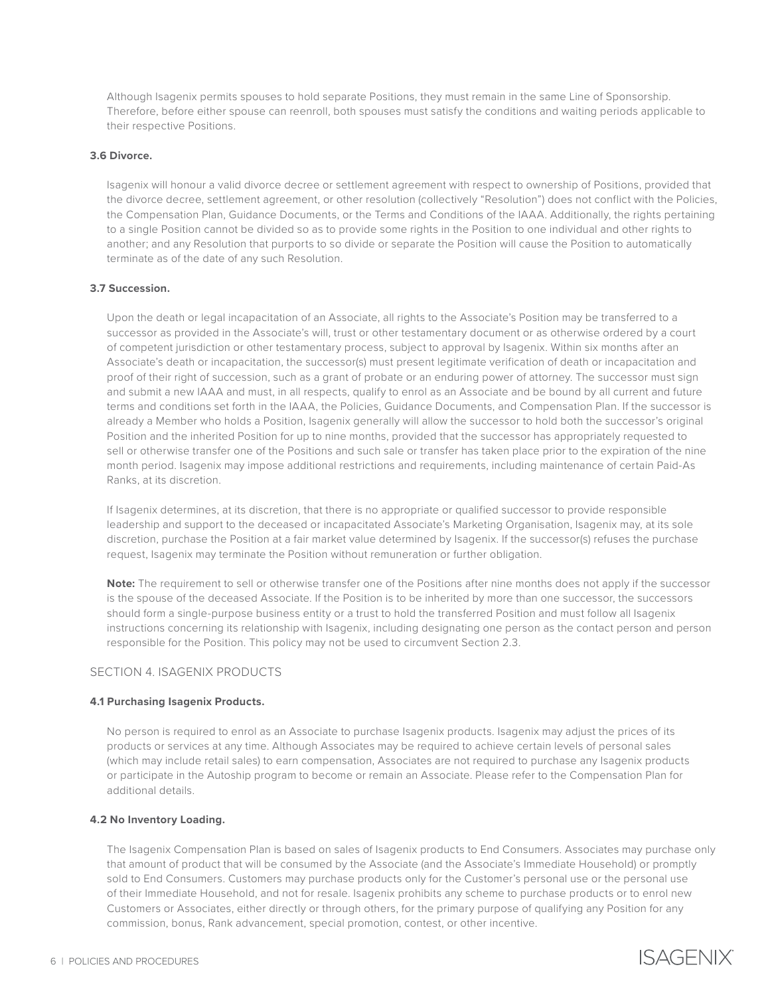Although Isagenix permits spouses to hold separate Positions, they must remain in the same Line of Sponsorship. Therefore, before either spouse can reenroll, both spouses must satisfy the conditions and waiting periods applicable to their respective Positions.

## **3.6 Divorce.**

Isagenix will honour a valid divorce decree or settlement agreement with respect to ownership of Positions, provided that the divorce decree, settlement agreement, or other resolution (collectively "Resolution") does not conflict with the Policies, the Compensation Plan, Guidance Documents, or the Terms and Conditions of the IAAA. Additionally, the rights pertaining to a single Position cannot be divided so as to provide some rights in the Position to one individual and other rights to another; and any Resolution that purports to so divide or separate the Position will cause the Position to automatically terminate as of the date of any such Resolution.

### **3.7 Succession.**

Upon the death or legal incapacitation of an Associate, all rights to the Associate's Position may be transferred to a successor as provided in the Associate's will, trust or other testamentary document or as otherwise ordered by a court of competent jurisdiction or other testamentary process, subject to approval by Isagenix. Within six months after an Associate's death or incapacitation, the successor(s) must present legitimate verification of death or incapacitation and proof of their right of succession, such as a grant of probate or an enduring power of attorney. The successor must sign and submit a new IAAA and must, in all respects, qualify to enrol as an Associate and be bound by all current and future terms and conditions set forth in the IAAA, the Policies, Guidance Documents, and Compensation Plan. If the successor is already a Member who holds a Position, Isagenix generally will allow the successor to hold both the successor's original Position and the inherited Position for up to nine months, provided that the successor has appropriately requested to sell or otherwise transfer one of the Positions and such sale or transfer has taken place prior to the expiration of the nine month period. Isagenix may impose additional restrictions and requirements, including maintenance of certain Paid-As Ranks, at its discretion.

If Isagenix determines, at its discretion, that there is no appropriate or qualified successor to provide responsible leadership and support to the deceased or incapacitated Associate's Marketing Organisation, Isagenix may, at its sole discretion, purchase the Position at a fair market value determined by Isagenix. If the successor(s) refuses the purchase request, Isagenix may terminate the Position without remuneration or further obligation.

**Note:** The requirement to sell or otherwise transfer one of the Positions after nine months does not apply if the successor is the spouse of the deceased Associate. If the Position is to be inherited by more than one successor, the successors should form a single-purpose business entity or a trust to hold the transferred Position and must follow all Isagenix instructions concerning its relationship with Isagenix, including designating one person as the contact person and person responsible for the Position. This policy may not be used to circumvent Section 2.3.

# SECTION 4. ISAGENIX PRODUCTS

#### **4.1 Purchasing Isagenix Products.**

No person is required to enrol as an Associate to purchase Isagenix products. Isagenix may adjust the prices of its products or services at any time. Although Associates may be required to achieve certain levels of personal sales (which may include retail sales) to earn compensation, Associates are not required to purchase any Isagenix products or participate in the Autoship program to become or remain an Associate. Please refer to the Compensation Plan for additional details.

#### **4.2 No Inventory Loading.**

The Isagenix Compensation Plan is based on sales of Isagenix products to End Consumers. Associates may purchase only that amount of product that will be consumed by the Associate (and the Associate's Immediate Household) or promptly sold to End Consumers. Customers may purchase products only for the Customer's personal use or the personal use of their Immediate Household, and not for resale. Isagenix prohibits any scheme to purchase products or to enrol new Customers or Associates, either directly or through others, for the primary purpose of qualifying any Position for any commission, bonus, Rank advancement, special promotion, contest, or other incentive.

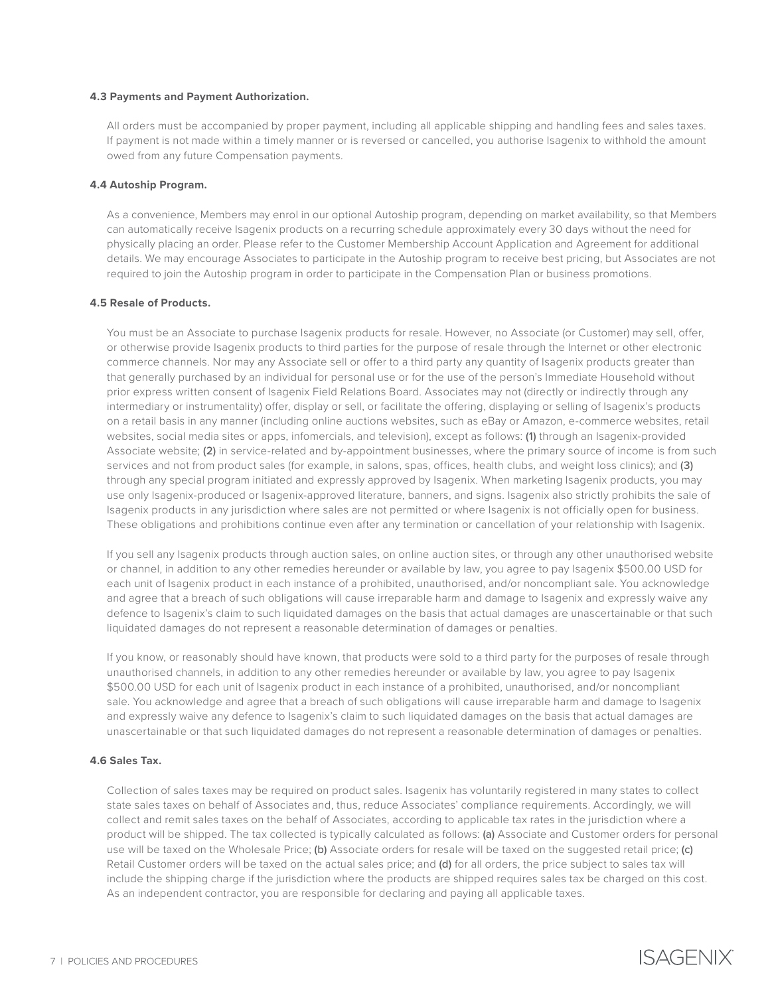### **4.3 Payments and Payment Authorization.**

All orders must be accompanied by proper payment, including all applicable shipping and handling fees and sales taxes. If payment is not made within a timely manner or is reversed or cancelled, you authorise Isagenix to withhold the amount owed from any future Compensation payments.

## **4.4 Autoship Program.**

As a convenience, Members may enrol in our optional Autoship program, depending on market availability, so that Members can automatically receive Isagenix products on a recurring schedule approximately every 30 days without the need for physically placing an order. Please refer to the Customer Membership Account Application and Agreement for additional details. We may encourage Associates to participate in the Autoship program to receive best pricing, but Associates are not required to join the Autoship program in order to participate in the Compensation Plan or business promotions.

# **4.5 Resale of Products.**

You must be an Associate to purchase Isagenix products for resale. However, no Associate (or Customer) may sell, offer, or otherwise provide Isagenix products to third parties for the purpose of resale through the Internet or other electronic commerce channels. Nor may any Associate sell or offer to a third party any quantity of Isagenix products greater than that generally purchased by an individual for personal use or for the use of the person's Immediate Household without prior express written consent of Isagenix Field Relations Board. Associates may not (directly or indirectly through any intermediary or instrumentality) offer, display or sell, or facilitate the offering, displaying or selling of Isagenix's products on a retail basis in any manner (including online auctions websites, such as eBay or Amazon, e-commerce websites, retail websites, social media sites or apps, infomercials, and television), except as follows: (1) through an Isagenix-provided Associate website; (2) in service-related and by-appointment businesses, where the primary source of income is from such services and not from product sales (for example, in salons, spas, offices, health clubs, and weight loss clinics); and (3) through any special program initiated and expressly approved by Isagenix. When marketing Isagenix products, you may use only Isagenix-produced or Isagenix-approved literature, banners, and signs. Isagenix also strictly prohibits the sale of Isagenix products in any jurisdiction where sales are not permitted or where Isagenix is not officially open for business. These obligations and prohibitions continue even after any termination or cancellation of your relationship with Isagenix.

If you sell any Isagenix products through auction sales, on online auction sites, or through any other unauthorised website or channel, in addition to any other remedies hereunder or available by law, you agree to pay Isagenix \$500.00 USD for each unit of Isagenix product in each instance of a prohibited, unauthorised, and/or noncompliant sale. You acknowledge and agree that a breach of such obligations will cause irreparable harm and damage to Isagenix and expressly waive any defence to Isagenix's claim to such liquidated damages on the basis that actual damages are unascertainable or that such liquidated damages do not represent a reasonable determination of damages or penalties.

If you know, or reasonably should have known, that products were sold to a third party for the purposes of resale through unauthorised channels, in addition to any other remedies hereunder or available by law, you agree to pay Isagenix \$500.00 USD for each unit of Isagenix product in each instance of a prohibited, unauthorised, and/or noncompliant sale. You acknowledge and agree that a breach of such obligations will cause irreparable harm and damage to Isagenix and expressly waive any defence to Isagenix's claim to such liquidated damages on the basis that actual damages are unascertainable or that such liquidated damages do not represent a reasonable determination of damages or penalties.

## **4.6 Sales Tax.**

Collection of sales taxes may be required on product sales. Isagenix has voluntarily registered in many states to collect state sales taxes on behalf of Associates and, thus, reduce Associates' compliance requirements. Accordingly, we will collect and remit sales taxes on the behalf of Associates, according to applicable tax rates in the jurisdiction where a product will be shipped. The tax collected is typically calculated as follows: (a) Associate and Customer orders for personal use will be taxed on the Wholesale Price; (b) Associate orders for resale will be taxed on the suggested retail price; (c) Retail Customer orders will be taxed on the actual sales price; and (d) for all orders, the price subject to sales tax will include the shipping charge if the jurisdiction where the products are shipped requires sales tax be charged on this cost. As an independent contractor, you are responsible for declaring and paying all applicable taxes.

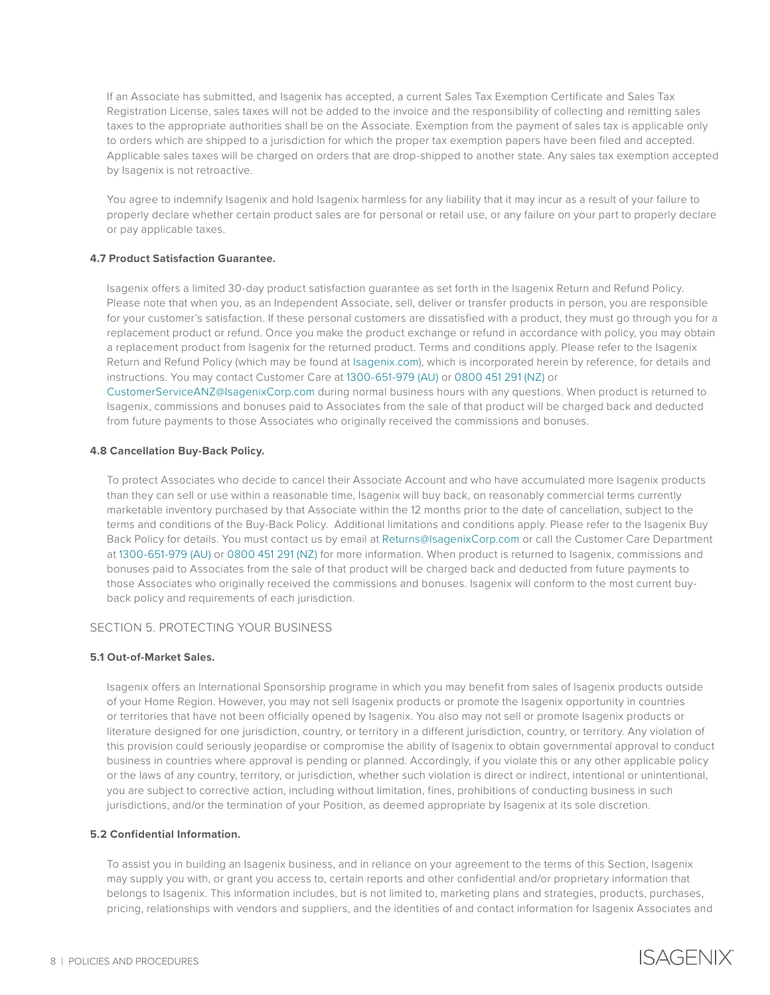If an Associate has submitted, and Isagenix has accepted, a current Sales Tax Exemption Certificate and Sales Tax Registration License, sales taxes will not be added to the invoice and the responsibility of collecting and remitting sales taxes to the appropriate authorities shall be on the Associate. Exemption from the payment of sales tax is applicable only to orders which are shipped to a jurisdiction for which the proper tax exemption papers have been filed and accepted. Applicable sales taxes will be charged on orders that are drop-shipped to another state. Any sales tax exemption accepted by Isagenix is not retroactive.

You agree to indemnify Isagenix and hold Isagenix harmless for any liability that it may incur as a result of your failure to properly declare whether certain product sales are for personal or retail use, or any failure on your part to properly declare or pay applicable taxes.

## **4.7 Product Satisfaction Guarantee.**

Isagenix offers a limited 30-day product satisfaction guarantee as set forth in the Isagenix Return and Refund Policy. Please note that when you, as an Independent Associate, sell, deliver or transfer products in person, you are responsible for your customer's satisfaction. If these personal customers are dissatisfied with a product, they must go through you for a replacement product or refund. Once you make the product exchange or refund in accordance with policy, you may obtain a replacement product from Isagenix for the returned product. Terms and conditions apply. Please refer to the Isagenix Return and Refund Policy (which may be found at [Isagenix.com](https://www.isagenix.com/en-au)), which is incorporated herein by reference, for details and instructions. You may contact Customer Care at 1300-651-979 (AU) or 0800 451 291 (NZ) or [CustomerServiceANZ@IsagenixCorp.com](mailto:CustomerServiceANZ%40IsagenixCorp.com?subject=) during normal business hours with any questions. When product is returned to Isagenix, commissions and bonuses paid to Associates from the sale of that product will be charged back and deducted

from future payments to those Associates who originally received the commissions and bonuses.

## **4.8 Cancellation Buy-Back Policy.**

To protect Associates who decide to cancel their Associate Account and who have accumulated more Isagenix products than they can sell or use within a reasonable time, Isagenix will buy back, on reasonably commercial terms currently marketable inventory purchased by that Associate within the 12 months prior to the date of cancellation, subject to the terms and conditions of the Buy-Back Policy. Additional limitations and conditions apply. Please refer to the Isagenix Buy Back Policy for details. You must contact us by email at [Returns@IsagenixCorp.com](mailto:Returns%40IsagenixCorp.com?subject=) or call the Customer Care Department at 1300-651-979 (AU) or 0800 451 291 (NZ) for more information. When product is returned to Isagenix, commissions and bonuses paid to Associates from the sale of that product will be charged back and deducted from future payments to those Associates who originally received the commissions and bonuses. Isagenix will conform to the most current buyback policy and requirements of each jurisdiction.

#### SECTION 5. PROTECTING YOUR BUSINESS

#### **5.1 Out-of-Market Sales.**

Isagenix offers an International Sponsorship programe in which you may benefit from sales of Isagenix products outside of your Home Region. However, you may not sell Isagenix products or promote the Isagenix opportunity in countries or territories that have not been officially opened by Isagenix. You also may not sell or promote Isagenix products or literature designed for one jurisdiction, country, or territory in a different jurisdiction, country, or territory. Any violation of this provision could seriously jeopardise or compromise the ability of Isagenix to obtain governmental approval to conduct business in countries where approval is pending or planned. Accordingly, if you violate this or any other applicable policy or the laws of any country, territory, or jurisdiction, whether such violation is direct or indirect, intentional or unintentional, you are subject to corrective action, including without limitation, fines, prohibitions of conducting business in such jurisdictions, and/or the termination of your Position, as deemed appropriate by Isagenix at its sole discretion.

### **5.2 Confidential Information.**

To assist you in building an Isagenix business, and in reliance on your agreement to the terms of this Section, Isagenix may supply you with, or grant you access to, certain reports and other confidential and/or proprietary information that belongs to Isagenix. This information includes, but is not limited to, marketing plans and strategies, products, purchases, pricing, relationships with vendors and suppliers, and the identities of and contact information for Isagenix Associates and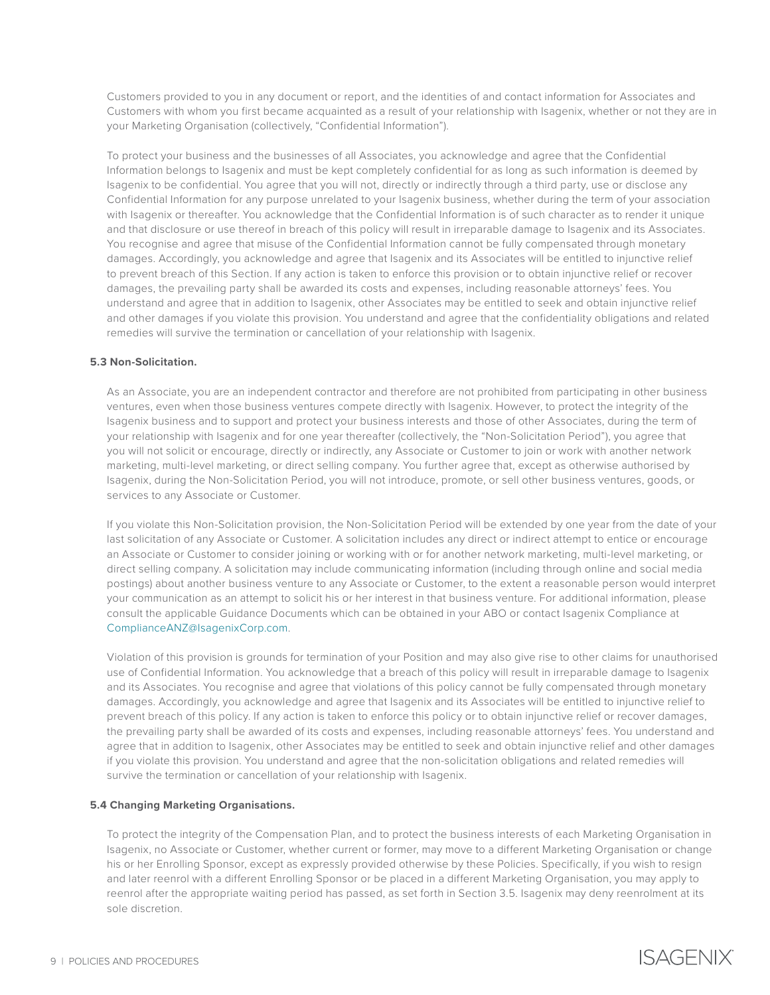Customers provided to you in any document or report, and the identities of and contact information for Associates and Customers with whom you first became acquainted as a result of your relationship with Isagenix, whether or not they are in your Marketing Organisation (collectively, "Confidential Information").

To protect your business and the businesses of all Associates, you acknowledge and agree that the Confidential Information belongs to Isagenix and must be kept completely confidential for as long as such information is deemed by Isagenix to be confidential. You agree that you will not, directly or indirectly through a third party, use or disclose any Confidential Information for any purpose unrelated to your Isagenix business, whether during the term of your association with Isagenix or thereafter. You acknowledge that the Confidential Information is of such character as to render it unique and that disclosure or use thereof in breach of this policy will result in irreparable damage to Isagenix and its Associates. You recognise and agree that misuse of the Confidential Information cannot be fully compensated through monetary damages. Accordingly, you acknowledge and agree that Isagenix and its Associates will be entitled to injunctive relief to prevent breach of this Section. If any action is taken to enforce this provision or to obtain injunctive relief or recover damages, the prevailing party shall be awarded its costs and expenses, including reasonable attorneys' fees. You understand and agree that in addition to Isagenix, other Associates may be entitled to seek and obtain injunctive relief and other damages if you violate this provision. You understand and agree that the confidentiality obligations and related remedies will survive the termination or cancellation of your relationship with Isagenix.

## **5.3 Non-Solicitation.**

As an Associate, you are an independent contractor and therefore are not prohibited from participating in other business ventures, even when those business ventures compete directly with Isagenix. However, to protect the integrity of the Isagenix business and to support and protect your business interests and those of other Associates, during the term of your relationship with Isagenix and for one year thereafter (collectively, the "Non-Solicitation Period"), you agree that you will not solicit or encourage, directly or indirectly, any Associate or Customer to join or work with another network marketing, multi-level marketing, or direct selling company. You further agree that, except as otherwise authorised by Isagenix, during the Non-Solicitation Period, you will not introduce, promote, or sell other business ventures, goods, or services to any Associate or Customer.

If you violate this Non-Solicitation provision, the Non-Solicitation Period will be extended by one year from the date of your last solicitation of any Associate or Customer. A solicitation includes any direct or indirect attempt to entice or encourage an Associate or Customer to consider joining or working with or for another network marketing, multi-level marketing, or direct selling company. A solicitation may include communicating information (including through online and social media postings) about another business venture to any Associate or Customer, to the extent a reasonable person would interpret your communication as an attempt to solicit his or her interest in that business venture. For additional information, please consult the applicable Guidance Documents which can be obtained in your ABO or contact Isagenix Compliance at [ComplianceANZ@IsagenixCorp.com](mailto:ComplianceANZ%40IsagenixCorp.com?subject=).

Violation of this provision is grounds for termination of your Position and may also give rise to other claims for unauthorised use of Confidential Information. You acknowledge that a breach of this policy will result in irreparable damage to Isagenix and its Associates. You recognise and agree that violations of this policy cannot be fully compensated through monetary damages. Accordingly, you acknowledge and agree that Isagenix and its Associates will be entitled to injunctive relief to prevent breach of this policy. If any action is taken to enforce this policy or to obtain injunctive relief or recover damages, the prevailing party shall be awarded of its costs and expenses, including reasonable attorneys' fees. You understand and agree that in addition to Isagenix, other Associates may be entitled to seek and obtain injunctive relief and other damages if you violate this provision. You understand and agree that the non-solicitation obligations and related remedies will survive the termination or cancellation of your relationship with Isagenix.

#### **5.4 Changing Marketing Organisations.**

To protect the integrity of the Compensation Plan, and to protect the business interests of each Marketing Organisation in Isagenix, no Associate or Customer, whether current or former, may move to a different Marketing Organisation or change his or her Enrolling Sponsor, except as expressly provided otherwise by these Policies. Specifically, if you wish to resign and later reenrol with a different Enrolling Sponsor or be placed in a different Marketing Organisation, you may apply to reenrol after the appropriate waiting period has passed, as set forth in Section 3.5. Isagenix may deny reenrolment at its sole discretion.



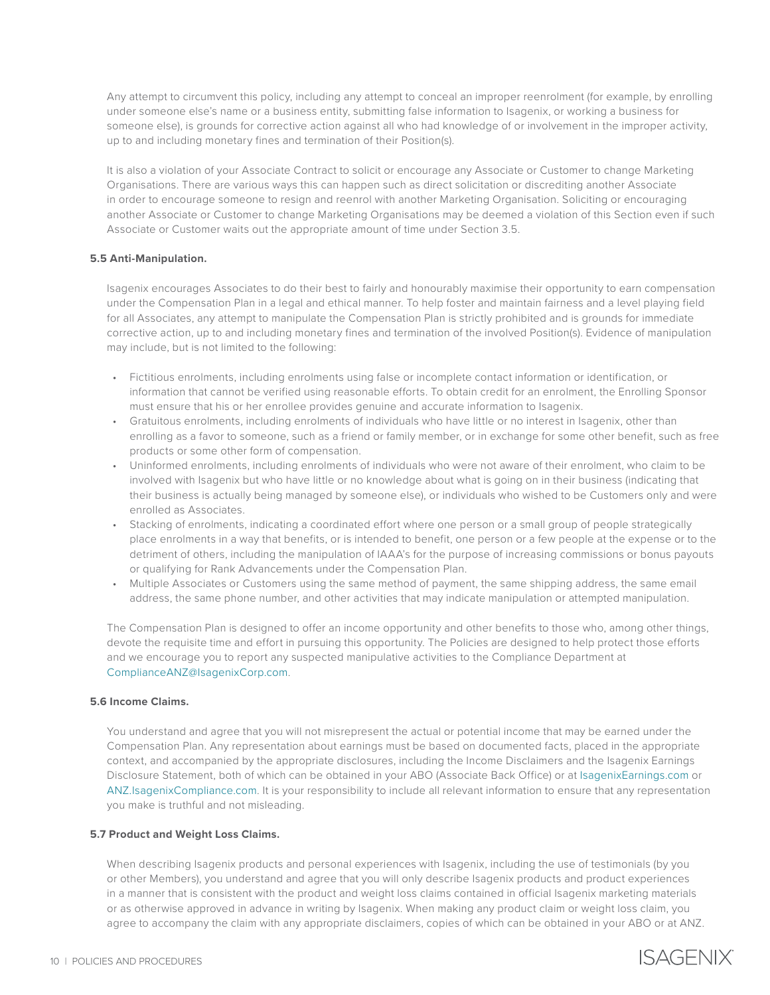Any attempt to circumvent this policy, including any attempt to conceal an improper reenrolment (for example, by enrolling under someone else's name or a business entity, submitting false information to Isagenix, or working a business for someone else), is grounds for corrective action against all who had knowledge of or involvement in the improper activity, up to and including monetary fines and termination of their Position(s).

It is also a violation of your Associate Contract to solicit or encourage any Associate or Customer to change Marketing Organisations. There are various ways this can happen such as direct solicitation or discrediting another Associate in order to encourage someone to resign and reenrol with another Marketing Organisation. Soliciting or encouraging another Associate or Customer to change Marketing Organisations may be deemed a violation of this Section even if such Associate or Customer waits out the appropriate amount of time under Section 3.5.

## **5.5 Anti-Manipulation.**

Isagenix encourages Associates to do their best to fairly and honourably maximise their opportunity to earn compensation under the Compensation Plan in a legal and ethical manner. To help foster and maintain fairness and a level playing field for all Associates, any attempt to manipulate the Compensation Plan is strictly prohibited and is grounds for immediate corrective action, up to and including monetary fines and termination of the involved Position(s). Evidence of manipulation may include, but is not limited to the following:

- Fictitious enrolments, including enrolments using false or incomplete contact information or identification, or information that cannot be verified using reasonable efforts. To obtain credit for an enrolment, the Enrolling Sponsor must ensure that his or her enrollee provides genuine and accurate information to Isagenix.
- Gratuitous enrolments, including enrolments of individuals who have little or no interest in Isagenix, other than enrolling as a favor to someone, such as a friend or family member, or in exchange for some other benefit, such as free products or some other form of compensation.
- Uninformed enrolments, including enrolments of individuals who were not aware of their enrolment, who claim to be involved with Isagenix but who have little or no knowledge about what is going on in their business (indicating that their business is actually being managed by someone else), or individuals who wished to be Customers only and were enrolled as Associates.
- Stacking of enrolments, indicating a coordinated effort where one person or a small group of people strategically place enrolments in a way that benefits, or is intended to benefit, one person or a few people at the expense or to the detriment of others, including the manipulation of IAAA's for the purpose of increasing commissions or bonus payouts or qualifying for Rank Advancements under the Compensation Plan.
- Multiple Associates or Customers using the same method of payment, the same shipping address, the same email address, the same phone number, and other activities that may indicate manipulation or attempted manipulation.

The Compensation Plan is designed to offer an income opportunity and other benefits to those who, among other things, devote the requisite time and effort in pursuing this opportunity. The Policies are designed to help protect those efforts and we encourage you to report any suspected manipulative activities to the Compliance Department at [ComplianceANZ@IsagenixCorp.com](mailto:ComplianceANZ%40IsagenixCorp.com?subject=).

## **5.6 Income Claims.**

You understand and agree that you will not misrepresent the actual or potential income that may be earned under the Compensation Plan. Any representation about earnings must be based on documented facts, placed in the appropriate context, and accompanied by the appropriate disclosures, including the Income Disclaimers and the Isagenix Earnings Disclosure Statement, both of which can be obtained in your ABO (Associate Back Office) or at [IsagenixEarnings.com](http://IsagenixEarnings.com) or [ANZ.IsagenixCompliance.com](mailto:ANZ.IsagenixCompliance.com?subject=). It is your responsibility to include all relevant information to ensure that any representation you make is truthful and not misleading.

## **5.7 Product and Weight Loss Claims.**

When describing Isagenix products and personal experiences with Isagenix, including the use of testimonials (by you or other Members), you understand and agree that you will only describe Isagenix products and product experiences in a manner that is consistent with the product and weight loss claims contained in official Isagenix marketing materials or as otherwise approved in advance in writing by Isagenix. When making any product claim or weight loss claim, you agree to accompany the claim with any appropriate disclaimers, copies of which can be obtained in your ABO or at ANZ.

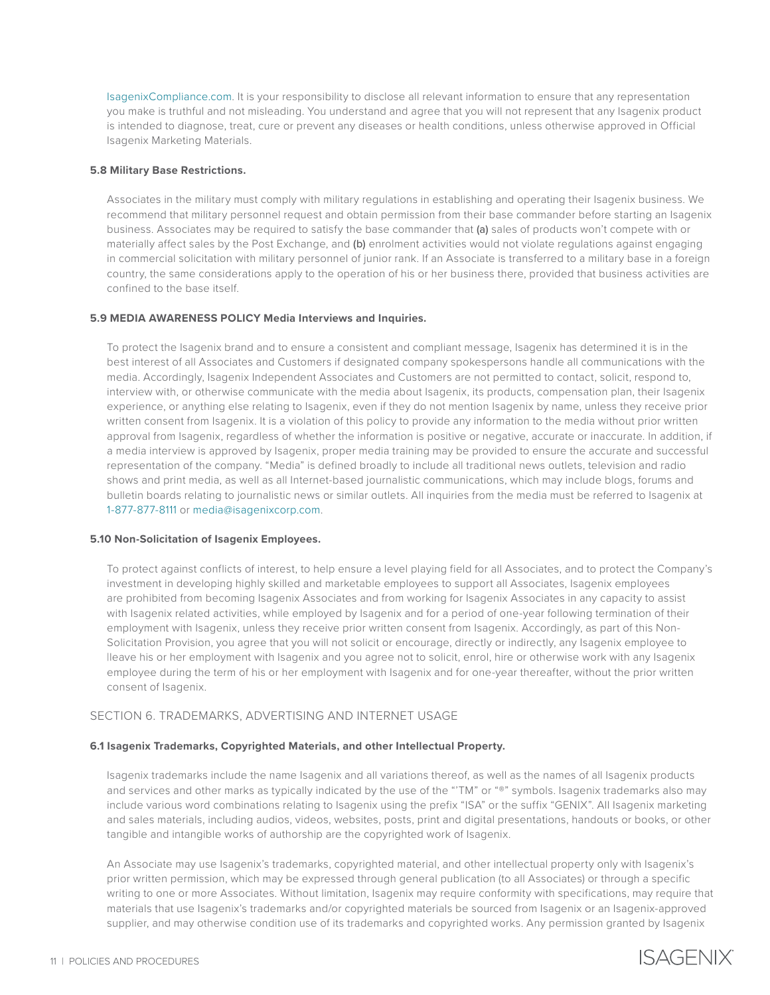[IsagenixCompliance.com.](https://www.isagenix.com/en-au/isagenix-compliance) It is your responsibility to disclose all relevant information to ensure that any representation you make is truthful and not misleading. You understand and agree that you will not represent that any Isagenix product is intended to diagnose, treat, cure or prevent any diseases or health conditions, unless otherwise approved in Official Isagenix Marketing Materials.

## **5.8 Military Base Restrictions.**

Associates in the military must comply with military regulations in establishing and operating their Isagenix business. We recommend that military personnel request and obtain permission from their base commander before starting an Isagenix business. Associates may be required to satisfy the base commander that (a) sales of products won't compete with or materially affect sales by the Post Exchange, and (b) enrolment activities would not violate regulations against engaging in commercial solicitation with military personnel of junior rank. If an Associate is transferred to a military base in a foreign country, the same considerations apply to the operation of his or her business there, provided that business activities are confined to the base itself.

## **5.9 MEDIA AWARENESS POLICY Media Interviews and Inquiries.**

To protect the Isagenix brand and to ensure a consistent and compliant message, Isagenix has determined it is in the best interest of all Associates and Customers if designated company spokespersons handle all communications with the media. Accordingly, Isagenix Independent Associates and Customers are not permitted to contact, solicit, respond to, interview with, or otherwise communicate with the media about Isagenix, its products, compensation plan, their Isagenix experience, or anything else relating to Isagenix, even if they do not mention Isagenix by name, unless they receive prior written consent from Isagenix. It is a violation of this policy to provide any information to the media without prior written approval from Isagenix, regardless of whether the information is positive or negative, accurate or inaccurate. In addition, if a media interview is approved by Isagenix, proper media training may be provided to ensure the accurate and successful representation of the company. "Media" is defined broadly to include all traditional news outlets, television and radio shows and print media, as well as all Internet-based journalistic communications, which may include blogs, forums and bulletin boards relating to journalistic news or similar outlets. All inquiries from the media must be referred to Isagenix at 1-877-877-8111 or [media@isagenixcorp.com.](mailto:media%40isagenixcorp.com?subject=)

## **5.10 Non-Solicitation of Isagenix Employees.**

To protect against conflicts of interest, to help ensure a level playing field for all Associates, and to protect the Company's investment in developing highly skilled and marketable employees to support all Associates, Isagenix employees are prohibited from becoming Isagenix Associates and from working for Isagenix Associates in any capacity to assist with Isagenix related activities, while employed by Isagenix and for a period of one-year following termination of their employment with Isagenix, unless they receive prior written consent from Isagenix. Accordingly, as part of this Non-Solicitation Provision, you agree that you will not solicit or encourage, directly or indirectly, any Isagenix employee to |leave his or her employment with Isagenix and you agree not to solicit, enrol, hire or otherwise work with any Isagenix employee during the term of his or her employment with Isagenix and for one-year thereafter, without the prior written consent of Isagenix.

# SECTION 6. TRADEMARKS, ADVERTISING AND INTERNET USAGE

## **6.1 Isagenix Trademarks, Copyrighted Materials, and other Intellectual Property.**

Isagenix trademarks include the name Isagenix and all variations thereof, as well as the names of all Isagenix products and services and other marks as typically indicated by the use of the "'TM" or "®" symbols. Isagenix trademarks also may include various word combinations relating to Isagenix using the prefix "ISA" or the suffix "GENIX". All Isagenix marketing and sales materials, including audios, videos, websites, posts, print and digital presentations, handouts or books, or other tangible and intangible works of authorship are the copyrighted work of Isagenix.

An Associate may use Isagenix's trademarks, copyrighted material, and other intellectual property only with Isagenix's prior written permission, which may be expressed through general publication (to all Associates) or through a specific writing to one or more Associates. Without limitation, Isagenix may require conformity with specifications, may require that materials that use Isagenix's trademarks and/or copyrighted materials be sourced from Isagenix or an Isagenix-approved supplier, and may otherwise condition use of its trademarks and copyrighted works. Any permission granted by Isagenix

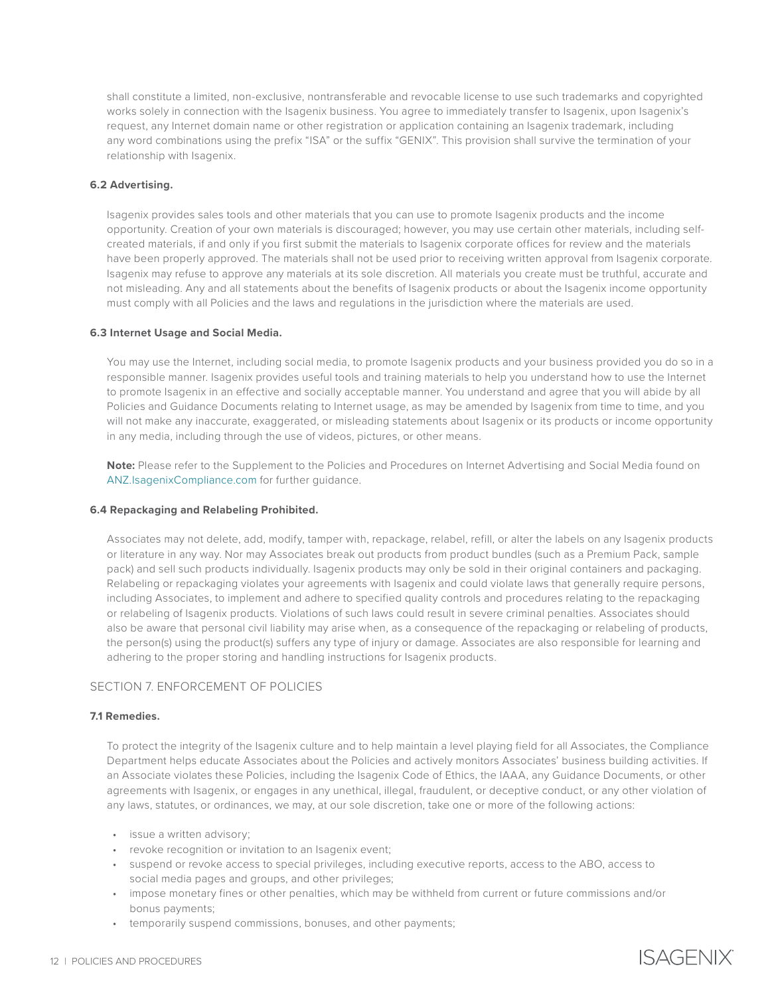shall constitute a limited, non-exclusive, nontransferable and revocable license to use such trademarks and copyrighted works solely in connection with the Isagenix business. You agree to immediately transfer to Isagenix, upon Isagenix's request, any Internet domain name or other registration or application containing an Isagenix trademark, including any word combinations using the prefix "ISA" or the suffix "GENIX". This provision shall survive the termination of your relationship with Isagenix.

## **6.2 Advertising.**

Isagenix provides sales tools and other materials that you can use to promote Isagenix products and the income opportunity. Creation of your own materials is discouraged; however, you may use certain other materials, including selfcreated materials, if and only if you first submit the materials to Isagenix corporate offices for review and the materials have been properly approved. The materials shall not be used prior to receiving written approval from Isagenix corporate. Isagenix may refuse to approve any materials at its sole discretion. All materials you create must be truthful, accurate and not misleading. Any and all statements about the benefits of Isagenix products or about the Isagenix income opportunity must comply with all Policies and the laws and regulations in the jurisdiction where the materials are used.

#### **6.3 Internet Usage and Social Media.**

You may use the Internet, including social media, to promote Isagenix products and your business provided you do so in a responsible manner. Isagenix provides useful tools and training materials to help you understand how to use the Internet to promote Isagenix in an effective and socially acceptable manner. You understand and agree that you will abide by all Policies and Guidance Documents relating to Internet usage, as may be amended by Isagenix from time to time, and you will not make any inaccurate, exaggerated, or misleading statements about Isagenix or its products or income opportunity in any media, including through the use of videos, pictures, or other means.

**Note:** Please refer to the Supplement to the Policies and Procedures on Internet Advertising and Social Media found on [ANZ.IsagenixCompliance.com](https://www.isagenix.com/en-AU/isagenix-compliance) for further guidance.

### **6.4 Repackaging and Relabeling Prohibited.**

Associates may not delete, add, modify, tamper with, repackage, relabel, refill, or alter the labels on any Isagenix products or literature in any way. Nor may Associates break out products from product bundles (such as a Premium Pack, sample pack) and sell such products individually. Isagenix products may only be sold in their original containers and packaging. Relabeling or repackaging violates your agreements with Isagenix and could violate laws that generally require persons, including Associates, to implement and adhere to specified quality controls and procedures relating to the repackaging or relabeling of Isagenix products. Violations of such laws could result in severe criminal penalties. Associates should also be aware that personal civil liability may arise when, as a consequence of the repackaging or relabeling of products, the person(s) using the product(s) suffers any type of injury or damage. Associates are also responsible for learning and adhering to the proper storing and handling instructions for Isagenix products.

## SECTION 7. ENFORCEMENT OF POLICIES

## **7.1 Remedies.**

To protect the integrity of the Isagenix culture and to help maintain a level playing field for all Associates, the Compliance Department helps educate Associates about the Policies and actively monitors Associates' business building activities. If an Associate violates these Policies, including the Isagenix Code of Ethics, the IAAA, any Guidance Documents, or other agreements with Isagenix, or engages in any unethical, illegal, fraudulent, or deceptive conduct, or any other violation of any laws, statutes, or ordinances, we may, at our sole discretion, take one or more of the following actions:

- issue a written advisory;
- revoke recognition or invitation to an Isagenix event;
- suspend or revoke access to special privileges, including executive reports, access to the ABO, access to social media pages and groups, and other privileges;
- impose monetary fines or other penalties, which may be withheld from current or future commissions and/or bonus payments;
- temporarily suspend commissions, bonuses, and other payments;

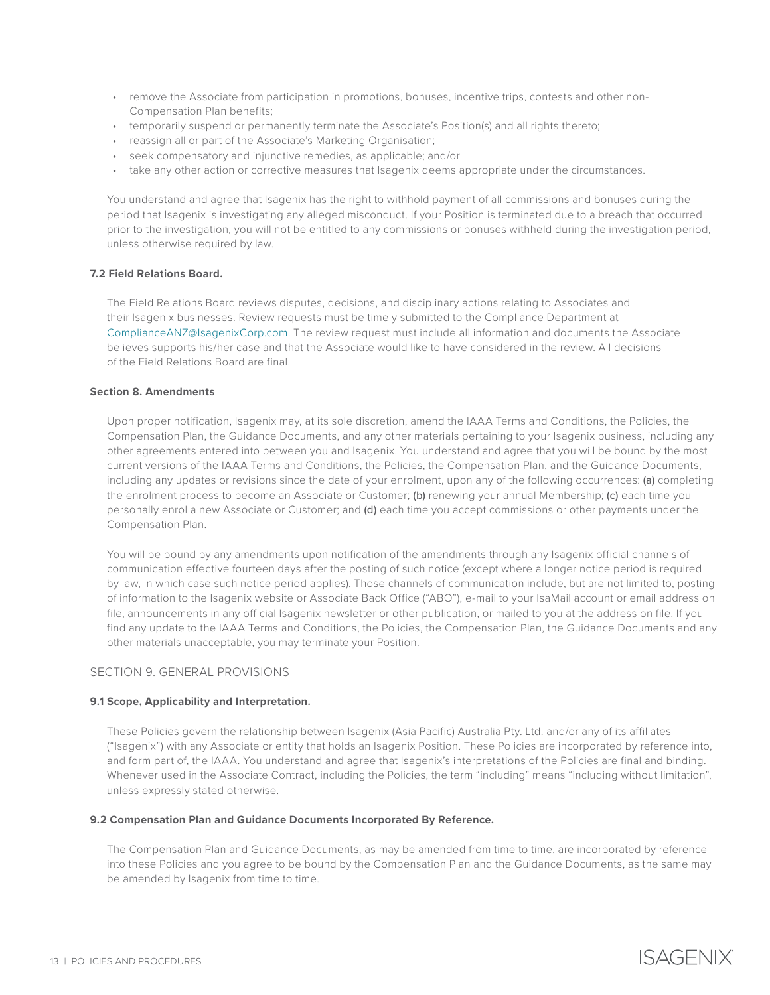- remove the Associate from participation in promotions, bonuses, incentive trips, contests and other non-Compensation Plan benefits;
- temporarily suspend or permanently terminate the Associate's Position(s) and all rights thereto;
- reassign all or part of the Associate's Marketing Organisation;
- seek compensatory and injunctive remedies, as applicable; and/or
- take any other action or corrective measures that Isagenix deems appropriate under the circumstances.

You understand and agree that Isagenix has the right to withhold payment of all commissions and bonuses during the period that Isagenix is investigating any alleged misconduct. If your Position is terminated due to a breach that occurred prior to the investigation, you will not be entitled to any commissions or bonuses withheld during the investigation period, unless otherwise required by law.

## **7.2 Field Relations Board.**

The Field Relations Board reviews disputes, decisions, and disciplinary actions relating to Associates and their Isagenix businesses. Review requests must be timely submitted to the Compliance Department at [ComplianceANZ@IsagenixCorp.com](mailto:ComplianceANZ%40IsagenixCorp.com?subject=). The review request must include all information and documents the Associate believes supports his/her case and that the Associate would like to have considered in the review. All decisions of the Field Relations Board are final.

### **Section 8. Amendments**

Upon proper notification, Isagenix may, at its sole discretion, amend the IAAA Terms and Conditions, the Policies, the Compensation Plan, the Guidance Documents, and any other materials pertaining to your Isagenix business, including any other agreements entered into between you and Isagenix. You understand and agree that you will be bound by the most current versions of the IAAA Terms and Conditions, the Policies, the Compensation Plan, and the Guidance Documents, including any updates or revisions since the date of your enrolment, upon any of the following occurrences: (a) completing the enrolment process to become an Associate or Customer; (b) renewing your annual Membership; (c) each time you personally enrol a new Associate or Customer; and (d) each time you accept commissions or other payments under the Compensation Plan.

You will be bound by any amendments upon notification of the amendments through any Isagenix official channels of communication effective fourteen days after the posting of such notice (except where a longer notice period is required by law, in which case such notice period applies). Those channels of communication include, but are not limited to, posting of information to the Isagenix website or Associate Back Office ("ABO"), e-mail to your IsaMail account or email address on file, announcements in any official Isagenix newsletter or other publication, or mailed to you at the address on file. If you find any update to the IAAA Terms and Conditions, the Policies, the Compensation Plan, the Guidance Documents and any other materials unacceptable, you may terminate your Position.

## SECTION 9. GENERAL PROVISIONS

#### **9.1 Scope, Applicability and Interpretation.**

These Policies govern the relationship between Isagenix (Asia Pacific) Australia Pty. Ltd. and/or any of its affiliates ("Isagenix") with any Associate or entity that holds an Isagenix Position. These Policies are incorporated by reference into, and form part of, the IAAA. You understand and agree that Isagenix's interpretations of the Policies are final and binding. Whenever used in the Associate Contract, including the Policies, the term "including" means "including without limitation", unless expressly stated otherwise.

#### **9.2 Compensation Plan and Guidance Documents Incorporated By Reference.**

The Compensation Plan and Guidance Documents, as may be amended from time to time, are incorporated by reference into these Policies and you agree to be bound by the Compensation Plan and the Guidance Documents, as the same may be amended by Isagenix from time to time.

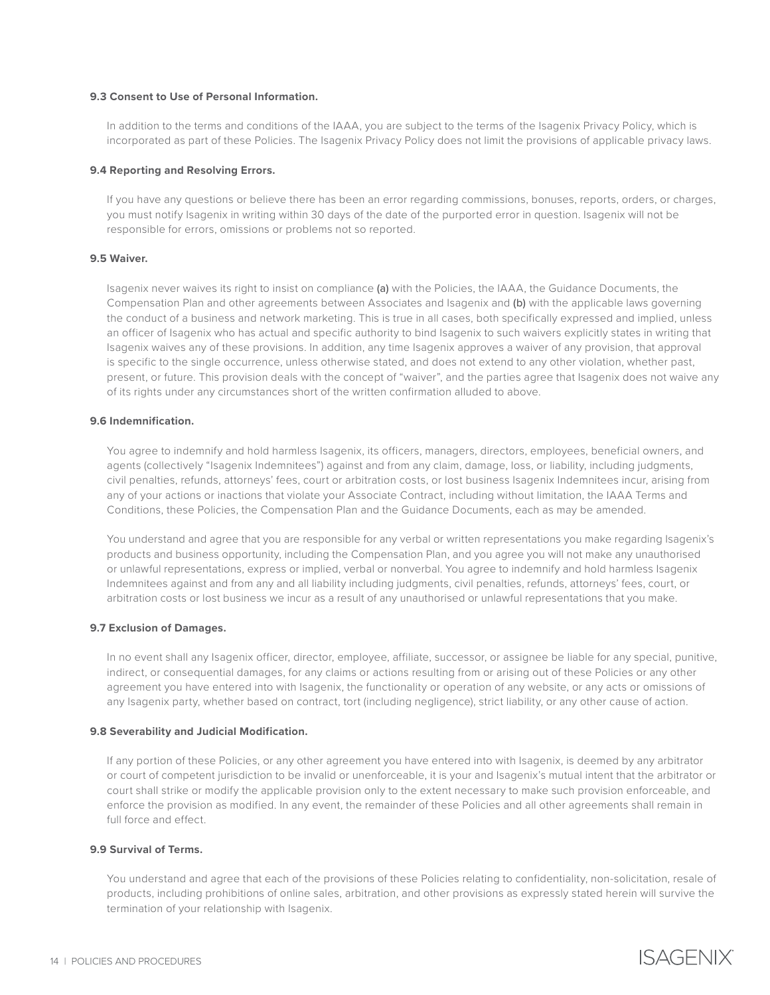#### **9.3 Consent to Use of Personal Information.**

In addition to the terms and conditions of the IAAA, you are subject to the terms of the Isagenix Privacy Policy, which is incorporated as part of these Policies. The Isagenix Privacy Policy does not limit the provisions of applicable privacy laws.

### **9.4 Reporting and Resolving Errors.**

If you have any questions or believe there has been an error regarding commissions, bonuses, reports, orders, or charges, you must notify Isagenix in writing within 30 days of the date of the purported error in question. Isagenix will not be responsible for errors, omissions or problems not so reported.

### **9.5 Waiver.**

Isagenix never waives its right to insist on compliance (a) with the Policies, the IAAA, the Guidance Documents, the Compensation Plan and other agreements between Associates and Isagenix and (b) with the applicable laws governing the conduct of a business and network marketing. This is true in all cases, both specifically expressed and implied, unless an officer of Isagenix who has actual and specific authority to bind Isagenix to such waivers explicitly states in writing that Isagenix waives any of these provisions. In addition, any time Isagenix approves a waiver of any provision, that approval is specific to the single occurrence, unless otherwise stated, and does not extend to any other violation, whether past, present, or future. This provision deals with the concept of "waiver", and the parties agree that Isagenix does not waive any of its rights under any circumstances short of the written confirmation alluded to above.

### **9.6 Indemnification.**

You agree to indemnify and hold harmless Isagenix, its officers, managers, directors, employees, beneficial owners, and agents (collectively "Isagenix Indemnitees") against and from any claim, damage, loss, or liability, including judgments, civil penalties, refunds, attorneys' fees, court or arbitration costs, or lost business Isagenix Indemnitees incur, arising from any of your actions or inactions that violate your Associate Contract, including without limitation, the IAAA Terms and Conditions, these Policies, the Compensation Plan and the Guidance Documents, each as may be amended.

You understand and agree that you are responsible for any verbal or written representations you make regarding Isagenix's products and business opportunity, including the Compensation Plan, and you agree you will not make any unauthorised or unlawful representations, express or implied, verbal or nonverbal. You agree to indemnify and hold harmless Isagenix Indemnitees against and from any and all liability including judgments, civil penalties, refunds, attorneys' fees, court, or arbitration costs or lost business we incur as a result of any unauthorised or unlawful representations that you make.

## **9.7 Exclusion of Damages.**

In no event shall any Isagenix officer, director, employee, affiliate, successor, or assignee be liable for any special, punitive, indirect, or consequential damages, for any claims or actions resulting from or arising out of these Policies or any other agreement you have entered into with Isagenix, the functionality or operation of any website, or any acts or omissions of any Isagenix party, whether based on contract, tort (including negligence), strict liability, or any other cause of action.

#### **9.8 Severability and Judicial Modification.**

If any portion of these Policies, or any other agreement you have entered into with Isagenix, is deemed by any arbitrator or court of competent jurisdiction to be invalid or unenforceable, it is your and Isagenix's mutual intent that the arbitrator or court shall strike or modify the applicable provision only to the extent necessary to make such provision enforceable, and enforce the provision as modified. In any event, the remainder of these Policies and all other agreements shall remain in full force and effect.

# **9.9 Survival of Terms.**

You understand and agree that each of the provisions of these Policies relating to confidentiality, non-solicitation, resale of products, including prohibitions of online sales, arbitration, and other provisions as expressly stated herein will survive the termination of your relationship with Isagenix.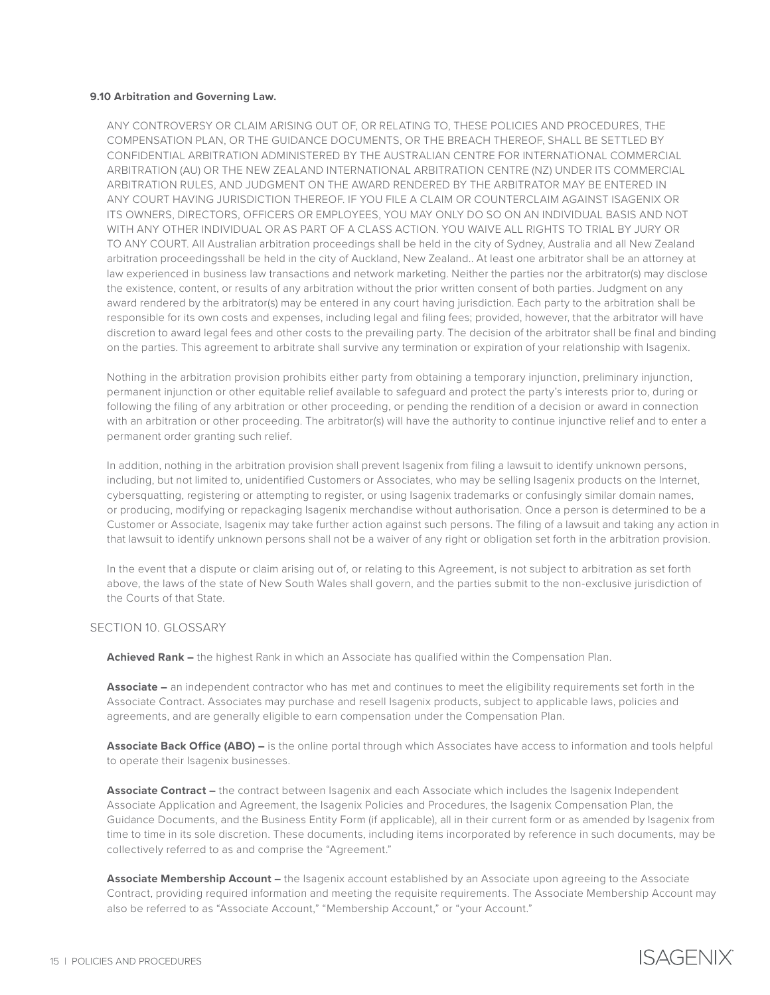### **9.10 Arbitration and Governing Law.**

ANY CONTROVERSY OR CLAIM ARISING OUT OF, OR RELATING TO, THESE POLICIES AND PROCEDURES, THE COMPENSATION PLAN, OR THE GUIDANCE DOCUMENTS, OR THE BREACH THEREOF, SHALL BE SETTLED BY CONFIDENTIAL ARBITRATION ADMINISTERED BY THE AUSTRALIAN CENTRE FOR INTERNATIONAL COMMERCIAL ARBITRATION (AU) OR THE NEW ZEALAND INTERNATIONAL ARBITRATION CENTRE (NZ) UNDER ITS COMMERCIAL ARBITRATION RULES, AND JUDGMENT ON THE AWARD RENDERED BY THE ARBITRATOR MAY BE ENTERED IN ANY COURT HAVING JURISDICTION THEREOF. IF YOU FILE A CLAIM OR COUNTERCLAIM AGAINST ISAGENIX OR ITS OWNERS, DIRECTORS, OFFICERS OR EMPLOYEES, YOU MAY ONLY DO SO ON AN INDIVIDUAL BASIS AND NOT WITH ANY OTHER INDIVIDUAL OR AS PART OF A CLASS ACTION. YOU WAIVE ALL RIGHTS TO TRIAL BY JURY OR TO ANY COURT. All Australian arbitration proceedings shall be held in the city of Sydney, Australia and all New Zealand arbitration proceedingsshall be held in the city of Auckland, New Zealand.. At least one arbitrator shall be an attorney at law experienced in business law transactions and network marketing. Neither the parties nor the arbitrator(s) may disclose the existence, content, or results of any arbitration without the prior written consent of both parties. Judgment on any award rendered by the arbitrator(s) may be entered in any court having jurisdiction. Each party to the arbitration shall be responsible for its own costs and expenses, including legal and filing fees; provided, however, that the arbitrator will have discretion to award legal fees and other costs to the prevailing party. The decision of the arbitrator shall be final and binding on the parties. This agreement to arbitrate shall survive any termination or expiration of your relationship with Isagenix.

Nothing in the arbitration provision prohibits either party from obtaining a temporary injunction, preliminary injunction, permanent injunction or other equitable relief available to safeguard and protect the party's interests prior to, during or following the filing of any arbitration or other proceeding, or pending the rendition of a decision or award in connection with an arbitration or other proceeding. The arbitrator(s) will have the authority to continue injunctive relief and to enter a permanent order granting such relief.

In addition, nothing in the arbitration provision shall prevent Isagenix from filing a lawsuit to identify unknown persons, including, but not limited to, unidentified Customers or Associates, who may be selling Isagenix products on the Internet, cybersquatting, registering or attempting to register, or using Isagenix trademarks or confusingly similar domain names, or producing, modifying or repackaging Isagenix merchandise without authorisation. Once a person is determined to be a Customer or Associate, Isagenix may take further action against such persons. The filing of a lawsuit and taking any action in that lawsuit to identify unknown persons shall not be a waiver of any right or obligation set forth in the arbitration provision.

In the event that a dispute or claim arising out of, or relating to this Agreement, is not subject to arbitration as set forth above, the laws of the state of New South Wales shall govern, and the parties submit to the non-exclusive jurisdiction of the Courts of that State.

#### SECTION 10. GLOSSARY

**Achieved Rank –** the highest Rank in which an Associate has qualified within the Compensation Plan.

**Associate –** an independent contractor who has met and continues to meet the eligibility requirements set forth in the Associate Contract. Associates may purchase and resell Isagenix products, subject to applicable laws, policies and agreements, and are generally eligible to earn compensation under the Compensation Plan.

**Associate Back Office (ABO) –** is the online portal through which Associates have access to information and tools helpful to operate their Isagenix businesses.

**Associate Contract –** the contract between Isagenix and each Associate which includes the Isagenix Independent Associate Application and Agreement, the Isagenix Policies and Procedures, the Isagenix Compensation Plan, the Guidance Documents, and the Business Entity Form (if applicable), all in their current form or as amended by Isagenix from time to time in its sole discretion. These documents, including items incorporated by reference in such documents, may be collectively referred to as and comprise the "Agreement."

**Associate Membership Account –** the Isagenix account established by an Associate upon agreeing to the Associate Contract, providing required information and meeting the requisite requirements. The Associate Membership Account may also be referred to as "Associate Account," "Membership Account," or "your Account."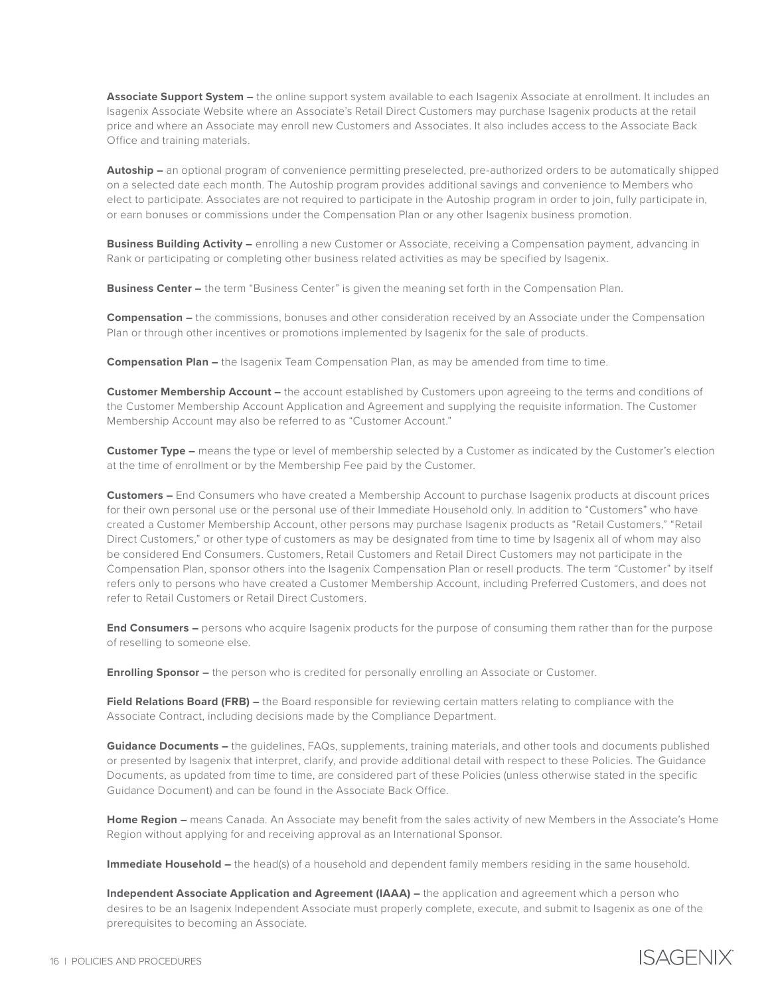**Associate Support System –** the online support system available to each Isagenix Associate at enrollment. It includes an Isagenix Associate Website where an Associate's Retail Direct Customers may purchase Isagenix products at the retail price and where an Associate may enroll new Customers and Associates. It also includes access to the Associate Back Office and training materials.

**Autoship –** an optional program of convenience permitting preselected, pre-authorized orders to be automatically shipped on a selected date each month. The Autoship program provides additional savings and convenience to Members who elect to participate. Associates are not required to participate in the Autoship program in order to join, fully participate in, or earn bonuses or commissions under the Compensation Plan or any other Isagenix business promotion.

**Business Building Activity –** enrolling a new Customer or Associate, receiving a Compensation payment, advancing in Rank or participating or completing other business related activities as may be specified by Isagenix.

**Business Center –** the term "Business Center" is given the meaning set forth in the Compensation Plan.

**Compensation –** the commissions, bonuses and other consideration received by an Associate under the Compensation Plan or through other incentives or promotions implemented by Isagenix for the sale of products.

**Compensation Plan –** the Isagenix Team Compensation Plan, as may be amended from time to time.

**Customer Membership Account –** the account established by Customers upon agreeing to the terms and conditions of the Customer Membership Account Application and Agreement and supplying the requisite information. The Customer Membership Account may also be referred to as "Customer Account."

**Customer Type –** means the type or level of membership selected by a Customer as indicated by the Customer's election at the time of enrollment or by the Membership Fee paid by the Customer.

**Customers –** End Consumers who have created a Membership Account to purchase Isagenix products at discount prices for their own personal use or the personal use of their Immediate Household only. In addition to "Customers" who have created a Customer Membership Account, other persons may purchase Isagenix products as "Retail Customers," "Retail Direct Customers," or other type of customers as may be designated from time to time by Isagenix all of whom may also be considered End Consumers. Customers, Retail Customers and Retail Direct Customers may not participate in the Compensation Plan, sponsor others into the Isagenix Compensation Plan or resell products. The term "Customer" by itself refers only to persons who have created a Customer Membership Account, including Preferred Customers, and does not refer to Retail Customers or Retail Direct Customers.

**End Consumers –** persons who acquire Isagenix products for the purpose of consuming them rather than for the purpose of reselling to someone else.

**Enrolling Sponsor –** the person who is credited for personally enrolling an Associate or Customer.

**Field Relations Board (FRB)** – the Board responsible for reviewing certain matters relating to compliance with the Associate Contract, including decisions made by the Compliance Department.

**Guidance Documents –** the guidelines, FAQs, supplements, training materials, and other tools and documents published or presented by Isagenix that interpret, clarify, and provide additional detail with respect to these Policies. The Guidance Documents, as updated from time to time, are considered part of these Policies (unless otherwise stated in the specific Guidance Document) and can be found in the Associate Back Office.

**Home Region –** means Canada. An Associate may benefit from the sales activity of new Members in the Associate's Home Region without applying for and receiving approval as an International Sponsor.

**Immediate Household –** the head(s) of a household and dependent family members residing in the same household.

**Independent Associate Application and Agreement (IAAA) –** the application and agreement which a person who desires to be an Isagenix Independent Associate must properly complete, execute, and submit to Isagenix as one of the prerequisites to becoming an Associate.